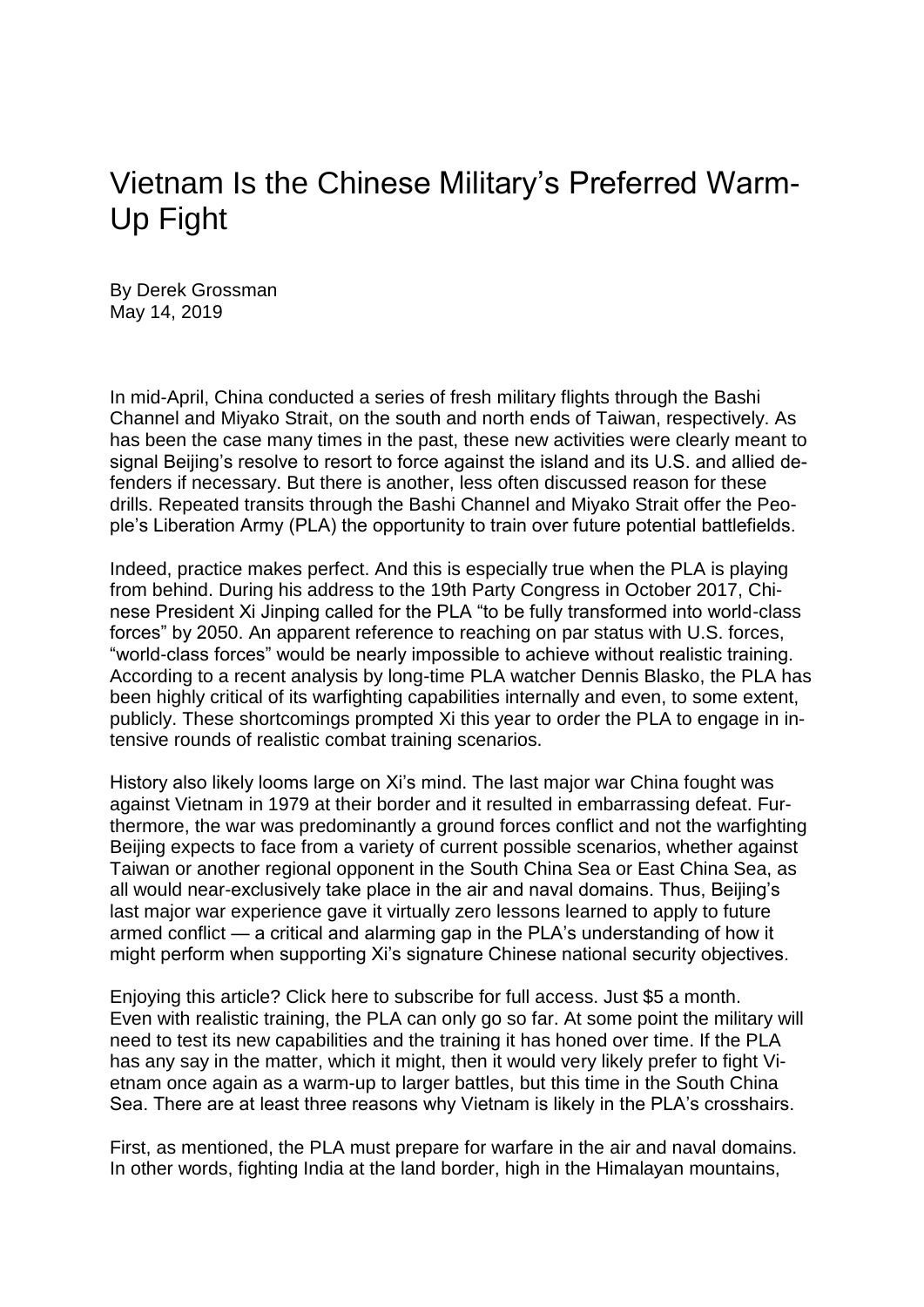## Vietnam Is the Chinese Military's Preferred Warm-Up Fight

By Derek Grossman May 14, 2019

In mid-April, China conducted a series of fresh military flights through the Bashi Channel and Miyako Strait, on the south and north ends of Taiwan, respectively. As has been the case many times in the past, these new activities were clearly meant to signal Beijing's resolve to resort to force against the island and its U.S. and allied defenders if necessary. But there is another, less often discussed reason for these drills. Repeated transits through the Bashi Channel and Miyako Strait offer the People's Liberation Army (PLA) the opportunity to train over future potential battlefields.

Indeed, practice makes perfect. And this is especially true when the PLA is playing from behind. During his address to the 19th Party Congress in October 2017, Chinese President Xi Jinping called for the PLA "to be fully transformed into world-class forces" by 2050. An apparent reference to reaching on par status with U.S. forces, "world-class forces" would be nearly impossible to achieve without realistic training. According to a recent analysis by long-time PLA watcher Dennis Blasko, the PLA has been highly critical of its warfighting capabilities internally and even, to some extent, publicly. These shortcomings prompted Xi this year to order the PLA to engage in intensive rounds of realistic combat training scenarios.

History also likely looms large on Xi's mind. The last major war China fought was against Vietnam in 1979 at their border and it resulted in embarrassing defeat. Furthermore, the war was predominantly a ground forces conflict and not the warfighting Beijing expects to face from a variety of current possible scenarios, whether against Taiwan or another regional opponent in the South China Sea or East China Sea, as all would near-exclusively take place in the air and naval domains. Thus, Beijing's last major war experience gave it virtually zero lessons learned to apply to future armed conflict — a critical and alarming gap in the PLA's understanding of how it might perform when supporting Xi's signature Chinese national security objectives.

Enjoying this article? Click here to subscribe for full access. Just \$5 a month. Even with realistic training, the PLA can only go so far. At some point the military will need to test its new capabilities and the training it has honed over time. If the PLA has any say in the matter, which it might, then it would very likely prefer to fight Vietnam once again as a warm-up to larger battles, but this time in the South China Sea. There are at least three reasons why Vietnam is likely in the PLA's crosshairs.

First, as mentioned, the PLA must prepare for warfare in the air and naval domains. In other words, fighting India at the land border, high in the Himalayan mountains,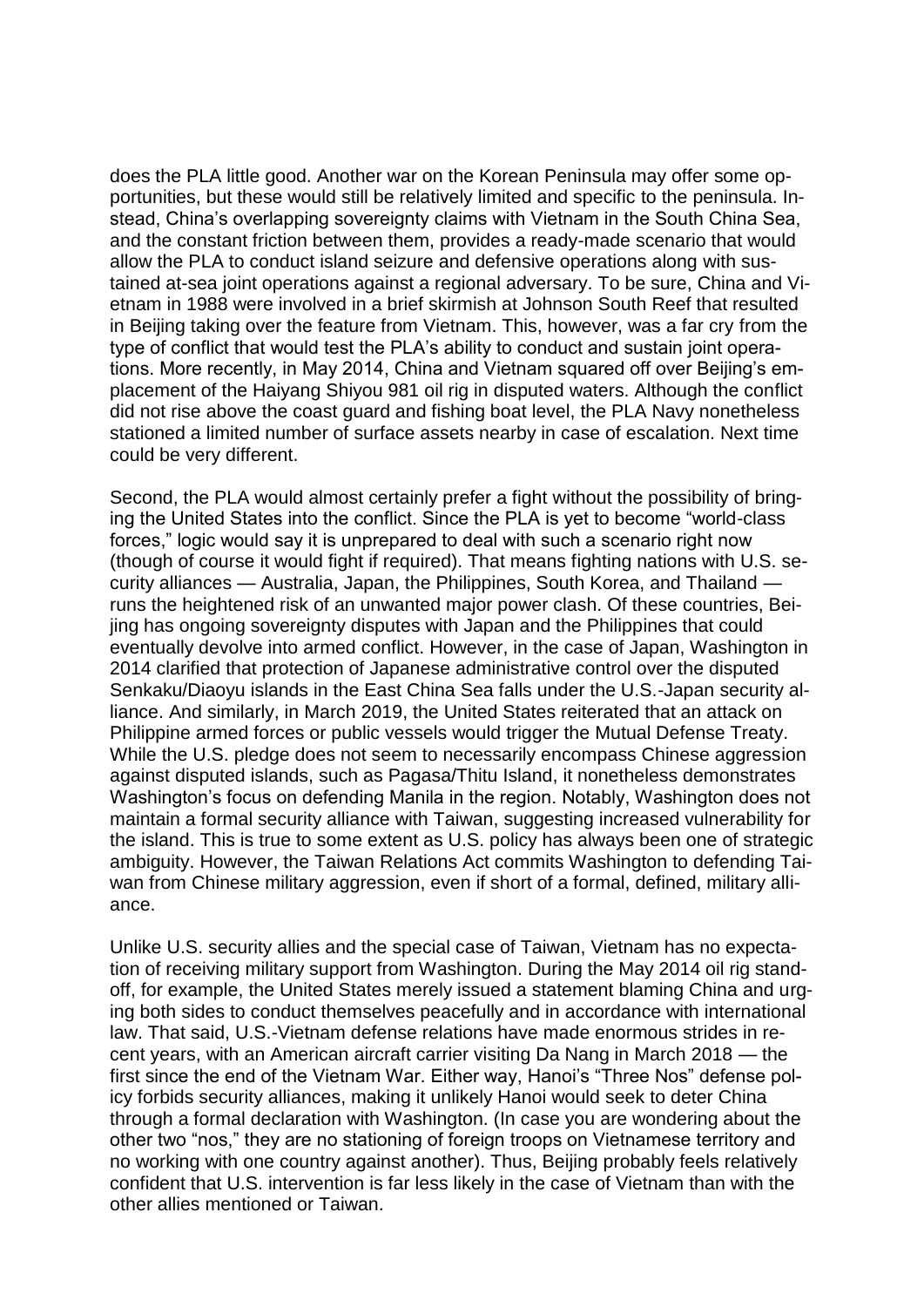does the PLA little good. Another war on the Korean Peninsula may offer some opportunities, but these would still be relatively limited and specific to the peninsula. Instead, China's overlapping sovereignty claims with Vietnam in the South China Sea, and the constant friction between them, provides a ready-made scenario that would allow the PLA to conduct island seizure and defensive operations along with sustained at-sea joint operations against a regional adversary. To be sure, China and Vietnam in 1988 were involved in a brief skirmish at Johnson South Reef that resulted in Beijing taking over the feature from Vietnam. This, however, was a far cry from the type of conflict that would test the PLA's ability to conduct and sustain joint operations. More recently, in May 2014, China and Vietnam squared off over Beijing's emplacement of the Haiyang Shiyou 981 oil rig in disputed waters. Although the conflict did not rise above the coast guard and fishing boat level, the PLA Navy nonetheless stationed a limited number of surface assets nearby in case of escalation. Next time could be very different.

Second, the PLA would almost certainly prefer a fight without the possibility of bringing the United States into the conflict. Since the PLA is yet to become "world-class forces," logic would say it is unprepared to deal with such a scenario right now (though of course it would fight if required). That means fighting nations with U.S. security alliances — Australia, Japan, the Philippines, South Korea, and Thailand runs the heightened risk of an unwanted major power clash. Of these countries, Beijing has ongoing sovereignty disputes with Japan and the Philippines that could eventually devolve into armed conflict. However, in the case of Japan, Washington in 2014 clarified that protection of Japanese administrative control over the disputed Senkaku/Diaoyu islands in the East China Sea falls under the U.S.-Japan security alliance. And similarly, in March 2019, the United States reiterated that an attack on Philippine armed forces or public vessels would trigger the Mutual Defense Treaty. While the U.S. pledge does not seem to necessarily encompass Chinese aggression against disputed islands, such as Pagasa/Thitu Island, it nonetheless demonstrates Washington's focus on defending Manila in the region. Notably, Washington does not maintain a formal security alliance with Taiwan, suggesting increased vulnerability for the island. This is true to some extent as U.S. policy has always been one of strategic ambiguity. However, the Taiwan Relations Act commits Washington to defending Taiwan from Chinese military aggression, even if short of a formal, defined, military alliance.

Unlike U.S. security allies and the special case of Taiwan, Vietnam has no expectation of receiving military support from Washington. During the May 2014 oil rig standoff, for example, the United States merely issued a statement blaming China and urging both sides to conduct themselves peacefully and in accordance with international law. That said, U.S.-Vietnam defense relations have made enormous strides in recent years, with an American aircraft carrier visiting Da Nang in March 2018 — the first since the end of the Vietnam War. Either way, Hanoi's "Three Nos" defense policy forbids security alliances, making it unlikely Hanoi would seek to deter China through a formal declaration with Washington. (In case you are wondering about the other two "nos," they are no stationing of foreign troops on Vietnamese territory and no working with one country against another). Thus, Beijing probably feels relatively confident that U.S. intervention is far less likely in the case of Vietnam than with the other allies mentioned or Taiwan.